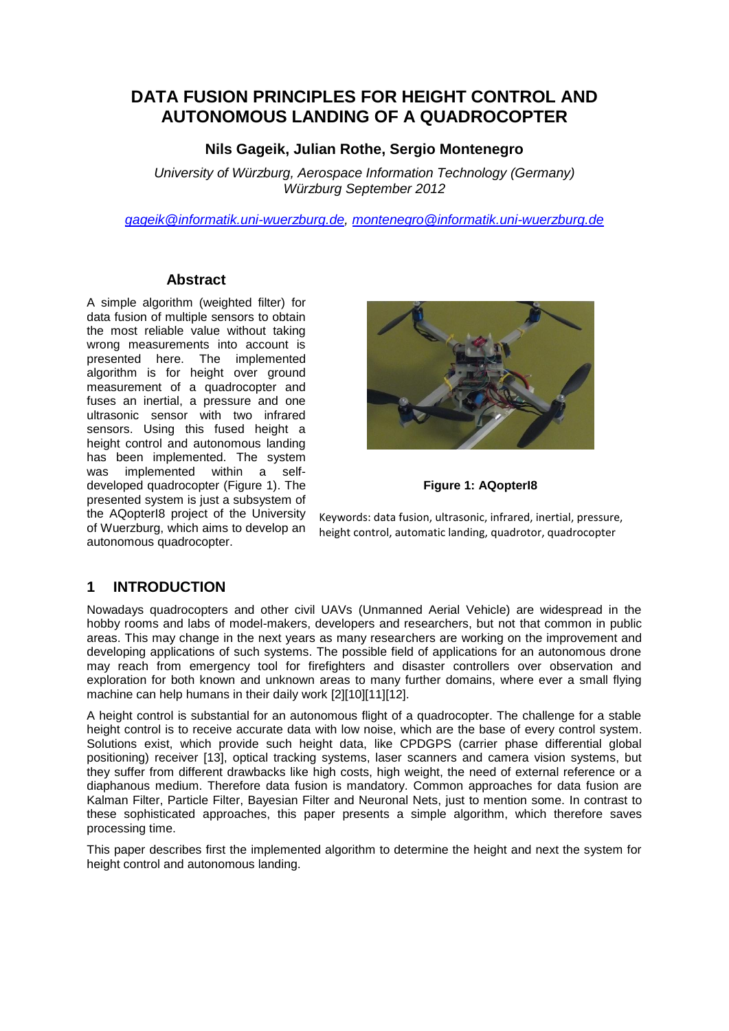# **DATA FUSION PRINCIPLES FOR HEIGHT CONTROL AND AUTONOMOUS LANDING OF A QUADROCOPTER**

### **Nils Gageik, Julian Rothe, Sergio Montenegro**

*University of Würzburg, Aerospace Information Technology (Germany) Würzburg September 2012*

*[gageik@informatik.uni-wuerzburg.de,](mailto:gageik@informatik.uni-wuerzburg.de) [montenegro@informatik.uni-wuerzburg.de](mailto:montenegro@informatik.uni-wuerzburg.de)*

#### **Abstract**

A simple algorithm (weighted filter) for data fusion of multiple sensors to obtain the most reliable value without taking wrong measurements into account is presented here. The implemented algorithm is for height over ground measurement of a quadrocopter and fuses an inertial, a pressure and one ultrasonic sensor with two infrared sensors. Using this fused height a height control and autonomous landing has been implemented. The system was implemented within a selfdeveloped quadrocopter (Figure 1). The presented system is just a subsystem of the AQopterI8 project of the University of Wuerzburg, which aims to develop an autonomous quadrocopter.



**Figure 1: AQopterI8**

Keywords: data fusion, ultrasonic, infrared, inertial, pressure, height control, automatic landing, quadrotor, quadrocopter

### **1 INTRODUCTION**

Nowadays quadrocopters and other civil UAVs (Unmanned Aerial Vehicle) are widespread in the hobby rooms and labs of model-makers, developers and researchers, but not that common in public areas. This may change in the next years as many researchers are working on the improvement and developing applications of such systems. The possible field of applications for an autonomous drone may reach from emergency tool for firefighters and disaster controllers over observation and exploration for both known and unknown areas to many further domains, where ever a small flying machine can help humans in their daily work [2][10][11][12].

A height control is substantial for an autonomous flight of a quadrocopter. The challenge for a stable height control is to receive accurate data with low noise, which are the base of every control system. Solutions exist, which provide such height data, like CPDGPS (carrier phase differential global positioning) receiver [13], optical tracking systems, laser scanners and camera vision systems, but they suffer from different drawbacks like high costs, high weight, the need of external reference or a diaphanous medium. Therefore data fusion is mandatory. Common approaches for data fusion are Kalman Filter, Particle Filter, Bayesian Filter and Neuronal Nets, just to mention some. In contrast to these sophisticated approaches, this paper presents a simple algorithm, which therefore saves processing time.

This paper describes first the implemented algorithm to determine the height and next the system for height control and autonomous landing.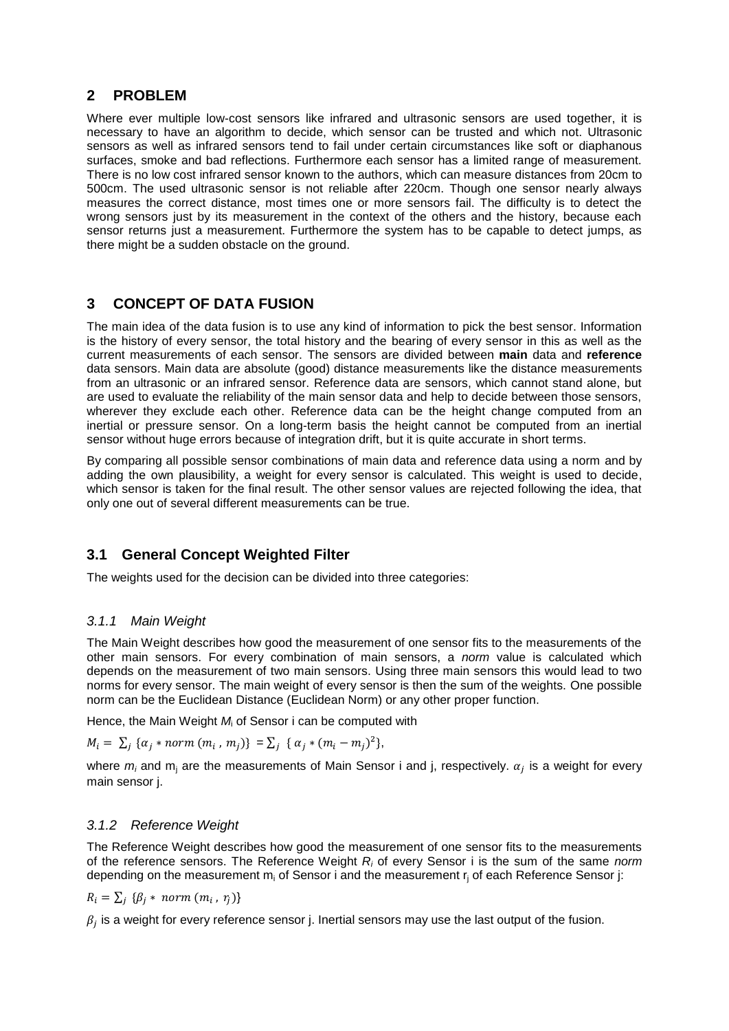### **2 PROBLEM**

Where ever multiple low-cost sensors like infrared and ultrasonic sensors are used together, it is necessary to have an algorithm to decide, which sensor can be trusted and which not. Ultrasonic sensors as well as infrared sensors tend to fail under certain circumstances like soft or diaphanous surfaces, smoke and bad reflections. Furthermore each sensor has a limited range of measurement. There is no low cost infrared sensor known to the authors, which can measure distances from 20cm to 500cm. The used ultrasonic sensor is not reliable after 220cm. Though one sensor nearly always measures the correct distance, most times one or more sensors fail. The difficulty is to detect the wrong sensors just by its measurement in the context of the others and the history, because each sensor returns just a measurement. Furthermore the system has to be capable to detect jumps, as there might be a sudden obstacle on the ground.

### **3 CONCEPT OF DATA FUSION**

The main idea of the data fusion is to use any kind of information to pick the best sensor. Information is the history of every sensor, the total history and the bearing of every sensor in this as well as the current measurements of each sensor. The sensors are divided between **main** data and **reference** data sensors. Main data are absolute (good) distance measurements like the distance measurements from an ultrasonic or an infrared sensor. Reference data are sensors, which cannot stand alone, but are used to evaluate the reliability of the main sensor data and help to decide between those sensors, wherever they exclude each other. Reference data can be the height change computed from an inertial or pressure sensor. On a long-term basis the height cannot be computed from an inertial sensor without huge errors because of integration drift, but it is quite accurate in short terms.

By comparing all possible sensor combinations of main data and reference data using a norm and by adding the own plausibility, a weight for every sensor is calculated. This weight is used to decide, which sensor is taken for the final result. The other sensor values are rejected following the idea, that only one out of several different measurements can be true.

## **3.1 General Concept Weighted Filter**

The weights used for the decision can be divided into three categories:

#### *3.1.1 Main Weight*

The Main Weight describes how good the measurement of one sensor fits to the measurements of the other main sensors. For every combination of main sensors, a *norm* value is calculated which depends on the measurement of two main sensors. Using three main sensors this would lead to two norms for every sensor. The main weight of every sensor is then the sum of the weights. One possible norm can be the Euclidean Distance (Euclidean Norm) or any other proper function.

Hence, the Main Weight *M*<sup>i</sup> of Sensor i can be computed with

$$
M_i = \sum_j \{ \alpha_j * norm(m_i, m_j) \} = \sum_j \{ \alpha_j * (m_i - m_j)^2 \},
$$

where  $m_i$  and  $m_i$  are the measurements of Main Sensor i and j, respectively.  $\alpha_j$  is a weight for every main sensor j.

#### *3.1.2 Reference Weight*

The Reference Weight describes how good the measurement of one sensor fits to the measurements of the reference sensors. The Reference Weight *R<sup>i</sup>* of every Sensor i is the sum of the same *norm* depending on the measurement  $m_i$  of Sensor i and the measurement  $r_i$  of each Reference Sensor j:

$$
R_i = \sum_j \{ \beta_j * norm(m_i, r_j) \}
$$

 $\beta_i$  is a weight for every reference sensor j. Inertial sensors may use the last output of the fusion.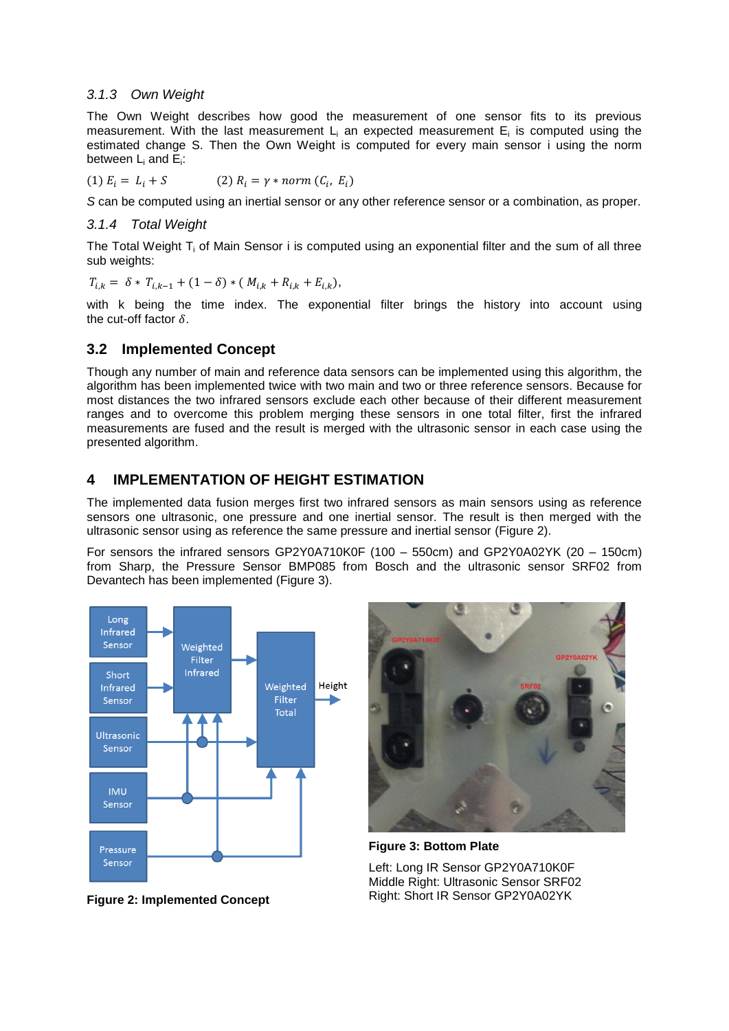#### *3.1.3 Own Weight*

The Own Weight describes how good the measurement of one sensor fits to its previous measurement. With the last measurement  $L_i$  an expected measurement  $E_i$  is computed using the estimated change S. Then the Own Weight is computed for every main sensor i using the norm between  $\mathsf{L}_{\mathsf{i}}$  and  $\mathsf{E}_{\mathsf{i}}$ :

(1) 
$$
E_i = L_i + S
$$
 (2)  $R_i = \gamma * norm (C_i, E_i)$ 

*S* can be computed using an inertial sensor or any other reference sensor or a combination, as proper.

#### *3.1.4 Total Weight*

The Total Weight  $T_i$  of Main Sensor i is computed using an exponential filter and the sum of all three sub weights:

$$
T_{i,k} = \delta * T_{i,k-1} + (1 - \delta) * (M_{i,k} + R_{i,k} + E_{i,k}),
$$

with k being the time index. The exponential filter brings the history into account using the cut-off factor  $\delta$ .

#### **3.2 Implemented Concept**

Though any number of main and reference data sensors can be implemented using this algorithm, the algorithm has been implemented twice with two main and two or three reference sensors. Because for most distances the two infrared sensors exclude each other because of their different measurement ranges and to overcome this problem merging these sensors in one total filter, first the infrared measurements are fused and the result is merged with the ultrasonic sensor in each case using the presented algorithm.

#### **4 IMPLEMENTATION OF HEIGHT ESTIMATION**

The implemented data fusion merges first two infrared sensors as main sensors using as reference sensors one ultrasonic, one pressure and one inertial sensor. The result is then merged with the ultrasonic sensor using as reference the same pressure and inertial sensor (Figure 2).

For sensors the infrared sensors GP2Y0A710K0F (100 – 550cm) and GP2Y0A02YK (20 – 150cm) from Sharp, the Pressure Sensor BMP085 from Bosch and the ultrasonic sensor SRF02 from Devantech has been implemented (Figure 3).





**Figure 3: Bottom Plate**

Left: Long IR Sensor GP2Y0A710K0F Middle Right: Ultrasonic Sensor SRF02 Right: Short IR Sensor GP2Y0A02YK

**Figure 2: Implemented Concept**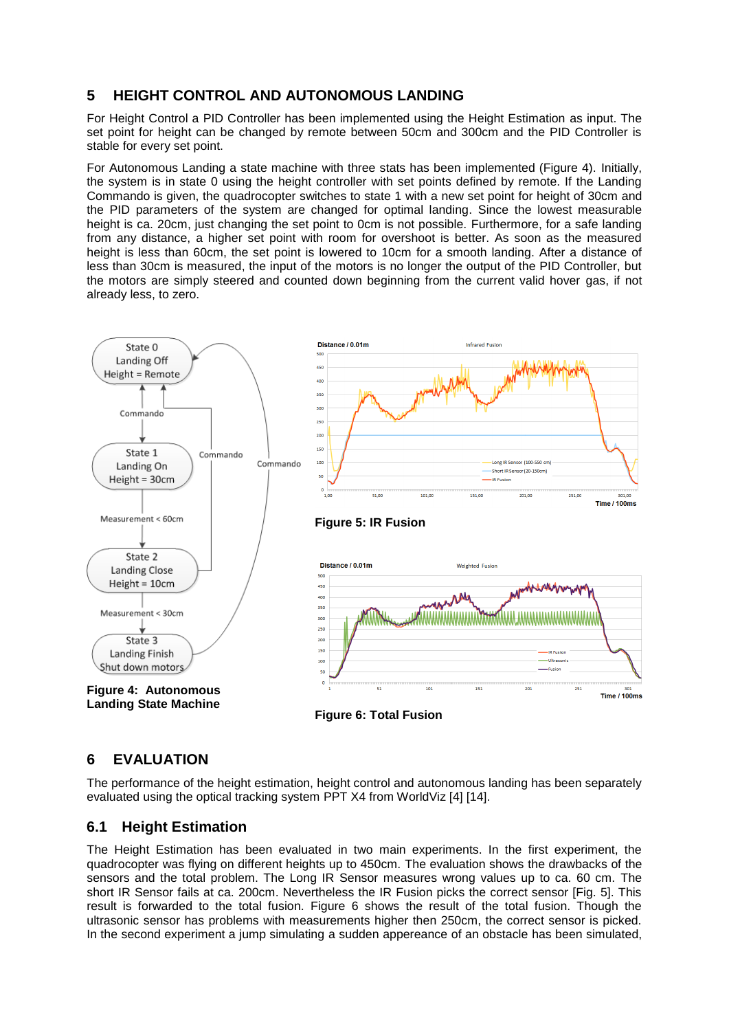## **5 HEIGHT CONTROL AND AUTONOMOUS LANDING**

For Height Control a PID Controller has been implemented using the Height Estimation as input. The set point for height can be changed by remote between 50cm and 300cm and the PID Controller is stable for every set point.

For Autonomous Landing a state machine with three stats has been implemented (Figure 4). Initially, the system is in state 0 using the height controller with set points defined by remote. If the Landing Commando is given, the quadrocopter switches to state 1 with a new set point for height of 30cm and the PID parameters of the system are changed for optimal landing. Since the lowest measurable height is ca. 20cm, just changing the set point to 0cm is not possible. Furthermore, for a safe landing from any distance, a higher set point with room for overshoot is better. As soon as the measured height is less than 60cm, the set point is lowered to 10cm for a smooth landing. After a distance of less than 30cm is measured, the input of the motors is no longer the output of the PID Controller, but the motors are simply steered and counted down beginning from the current valid hover gas, if not already less, to zero.



### **Figure 6: Total Fusion**

## **6 EVALUATION**

The performance of the height estimation, height control and autonomous landing has been separately evaluated using the optical tracking system PPT X4 from WorldViz [4] [14].

#### **6.1 Height Estimation**

The Height Estimation has been evaluated in two main experiments. In the first experiment, the quadrocopter was flying on different heights up to 450cm. The evaluation shows the drawbacks of the sensors and the total problem. The Long IR Sensor measures wrong values up to ca. 60 cm. The short IR Sensor fails at ca. 200cm. Nevertheless the IR Fusion picks the correct sensor [Fig. 5]. This result is forwarded to the total fusion. Figure 6 shows the result of the total fusion. Though the ultrasonic sensor has problems with measurements higher then 250cm, the correct sensor is picked. In the second experiment a jump simulating a sudden appereance of an obstacle has been simulated,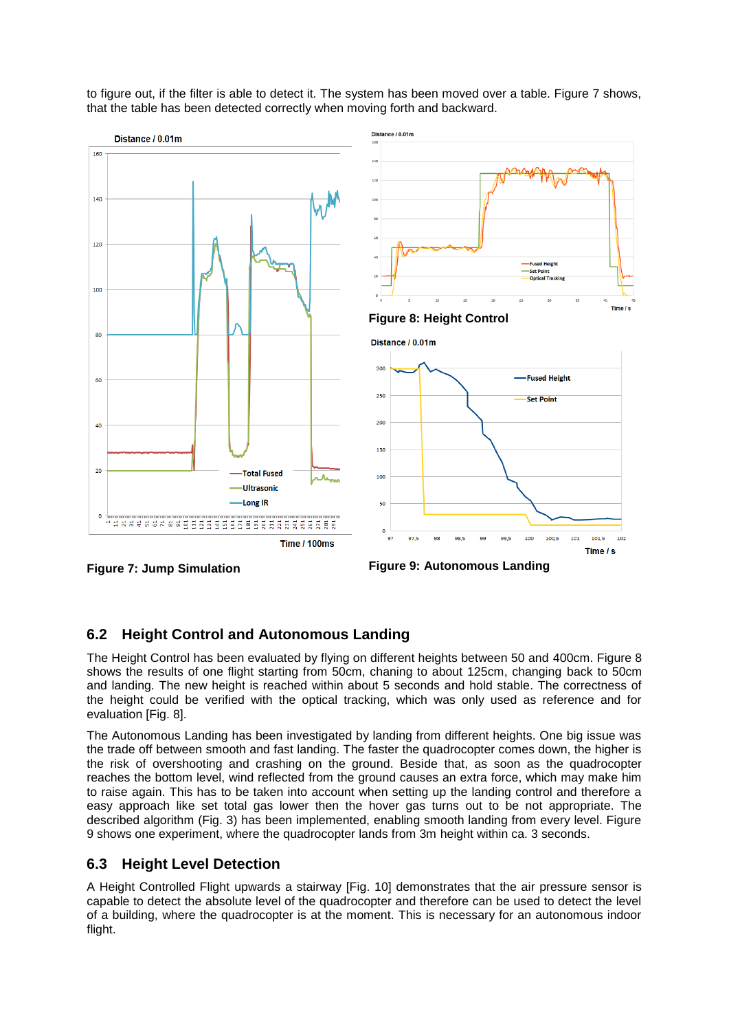

to figure out, if the filter is able to detect it. The system has been moved over a table. Figure 7 shows, that the table has been detected correctly when moving forth and backward.

**Figure 7: Jump Simulation**

**Figure 9: Autonomous Landing**

## **6.2 Height Control and Autonomous Landing**

The Height Control has been evaluated by flying on different heights between 50 and 400cm. Figure 8 shows the results of one flight starting from 50cm, chaning to about 125cm, changing back to 50cm and landing. The new height is reached within about 5 seconds and hold stable. The correctness of the height could be verified with the optical tracking, which was only used as reference and for evaluation [Fig. 8].

The Autonomous Landing has been investigated by landing from different heights. One big issue was the trade off between smooth and fast landing. The faster the quadrocopter comes down, the higher is the risk of overshooting and crashing on the ground. Beside that, as soon as the quadrocopter reaches the bottom level, wind reflected from the ground causes an extra force, which may make him to raise again. This has to be taken into account when setting up the landing control and therefore a easy approach like set total gas lower then the hover gas turns out to be not appropriate. The described algorithm (Fig. 3) has been implemented, enabling smooth landing from every level. Figure 9 shows one experiment, where the quadrocopter lands from 3m height within ca. 3 seconds.

### **6.3 Height Level Detection**

A Height Controlled Flight upwards a stairway [Fig. 10] demonstrates that the air pressure sensor is capable to detect the absolute level of the quadrocopter and therefore can be used to detect the level of a building, where the quadrocopter is at the moment. This is necessary for an autonomous indoor flight.